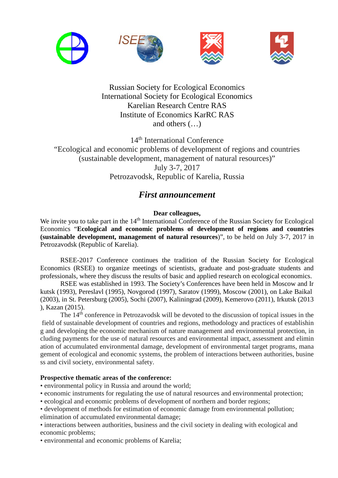

Russian Society for Ecological Economics International Society for Ecological Economics Karelian Research Centre RAS Institute of Economics KarRC RAS and others (…)

14th International Conference "Ecological and economic problems of development of regions and countries (sustainable development, management of natural resources)" July 3-7, 2017 Petrozavodsk, Republic of Karelia, Russia

# *First announcement*

## **Dear colleagues,**

We invite you to take part in the 14<sup>th</sup> International Conference of the Russian Society for Ecological Economics "**Ecological and economic problems of development of regions and countries (sustainable development, management of natural resources**)", to be held on July 3-7, 2017 in Petrozavodsk (Republic of Karelia).

RSEE-2017 Conference continues the tradition of the Russian Society for Ecological Economics (RSEE) to organize meetings of scientists, graduate and post-graduate students and professionals, where they discuss the results of basic and applied research on ecological economics.

RSEE was established in 1993. The Society's Conferences have been held in Moscow and Ir kutsk (1993), Pereslavl (1995), Novgorod (1997), Saratov (1999), Moscow (2001), on Lake Baikal (2003), in St. Petersburg (2005), Sochi (2007), Kaliningrad (2009), Kemerovo (2011), Irkutsk (2013 ), Kazan (2015).

The 14<sup>th</sup> conference in Petrozavodsk will be devoted to the discussion of topical issues in the field of sustainable development of countries and regions, methodology and practices of establishin g and developing the economic mechanism of nature management and environmental protection, in cluding payments for the use of natural resources and environmental impact, assessment and elimin ation of accumulated environmental damage, development of environmental target programs, mana gement of ecological and economic systems, the problem of interactions between authorities, busine ss and civil society, environmental safety.

## **Prospective thematic areas of the conference:**

- environmental policy in Russia and around the world;
- economic instruments for regulating the use of natural resources and environmental protection;
- ecological and economic problems of development of northern and border regions;
- development of methods for estimation of economic damage from environmental pollution;

elimination of accumulated environmental damage;

• interactions between authorities, business and the civil society in dealing with ecological and economic problems;

• environmental and economic problems of Karelia;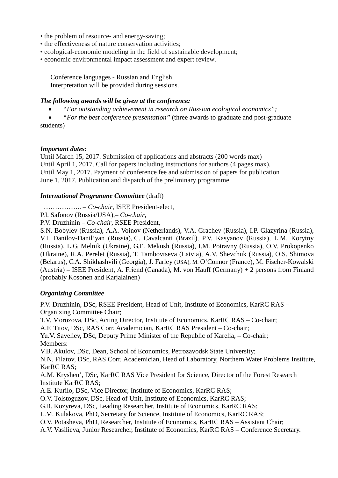- the problem of resource- and energy-saving;
- the effectiveness of nature conservation activities;
- ecological-economic modeling in the field of sustainable development;
- economic environmental impact assessment and expert review.

Conference languages - Russian and English. Interpretation will be provided during sessions.

## *The following awards will be given at the conference:*

• *"For outstanding achievement in research on Russian ecological economics";*

• *"For the best conference presentation"* (three awards to graduate and post-graduate students)

## *Important dates:*

Until March 15, 2017. Submission of applications and abstracts (200 words max) Until April 1, 2017. Call for papers including instructions for authors (4 pages max). Until May 1, 2017. Payment of conference fee and submission of papers for publication June 1, 2017. Publication and dispatch of the preliminary programme

## *International Programme Committee* (draft)

…………….. – *Co-chair*, ISEE President-elect,

P.I. Safonov (Russia/USA),*– Co-chair,*

P.V. Druzhinin – *Co-chair*, RSEE President,

S.N. Bobylev (Russia), A.A. Voinov (Netherlands), V.A. Grachev (Russia), I.P. Glazyrina (Russia), V.I. Danilov-Danil'yan (Russia), C. Cavalcanti (Brazil), P.V. Kasyanov (Russia), L.M. Korytny (Russia), L.G. Melnik (Ukraine), G.E. Mekush (Russia), I.M. Potravny (Russia), O.V. Prokopenko (Ukraine), R.A. Perelet (Russia), T. Tambovtseva (Latvia), A.V. Shevchuk (Russia), O.S. Shimova (Belarus), G.A. Shikhashvili (Georgia), J. Farley (USA), M. O'Connor (France), M. Fischer-Kowalski (Austria) – ISEE President, А. Friend (Canada), M. von Hauff (Germany) + 2 persons from Finland (probably Kosonen and Karjalainen)

## *Organizing Committee*

P.V. Druzhinin, DSc, RSEE President, Head of Unit, Institute of Economics, KarRC RAS – Organizing Committee Chair;

T.V. Morozova, DSc, Acting Director, Institute of Economics, KarRC RAS – Co-chair;

A.F. Titov, DSc, RAS Corr. Academician, KarRC RAS President – Co-chair;

Yu.V. Saveliev, DSc, Deputy Prime Minister of the Republic of Karelia, – Co-chair; Members:

V.B. Akulov, DSc, Dean, School of Economics, Petrozavodsk State University;

N.N. Filatov, DSc, RAS Corr. Academician, Head of Laboratory, Northern Water Problems Institute, KarRC RAS;

A.M. Kryshen', DSc, KarRC RAS Vice President for Science, Director of the Forest Research Institute KarRC RAS;

A.E. Kurilo, DSc, Vice Director, Institute of Economics, KarRC RAS;

O.V. Tolstoguzov, DSc, Head of Unit, Institute of Economics, KarRC RAS;

G.B. Kozyreva, DSc, Leading Researcher, Institute of Economics, KarRC RAS;

L.M. Kulakova, PhD, Secretary for Science, Institute of Economics, KarRC RAS;

O.V. Potasheva, PhD, Researcher, Institute of Economics, KarRC RAS – Assistant Chair;

A.V. Vasilieva, Junior Researcher, Institute of Economics, KarRC RAS – Conference Secretary.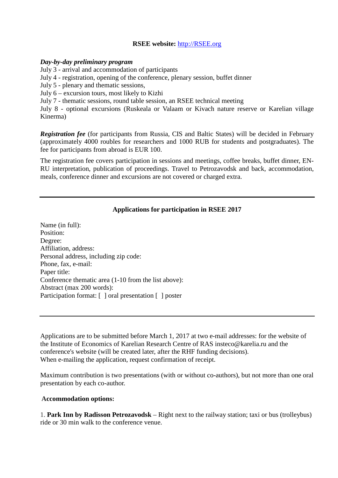## **RSEE website:** [http://RSEE.org](http://rsee.org/)

#### *Day-by-day preliminary program*

July 3 - arrival and accommodation of participants

July 4 - registration, opening of the conference, plenary session, buffet dinner

July 5 - plenary and thematic sessions,

July 6 – excursion tours, most likely to Kizhi

July 7 - thematic sessions, round table session, an RSEE technical meeting

July 8 - optional excursions (Ruskeala or Valaam or Kivach nature reserve or Karelian village Kinerma)

*Registration fee* (for participants from Russia, CIS and Baltic States) will be decided in February (approximately 4000 roubles for researchers and 1000 RUB for students and postgraduates). The fee for participants from abroad is EUR 100.

The registration fee covers participation in sessions and meetings, coffee breaks, buffet dinner, EN-RU interpretation, publication of proceedings. Travel to Petrozavodsk and back, accommodation, meals, conference dinner and excursions are not covered or charged extra.

## **Applications for participation in RSEE 2017**

Name (in full): Position: Degree: Affiliation, address: Personal address, including zip code: Phone, fax, e-mail: Paper title: Conference thematic area (1-10 from the list above): Abstract (max 200 words): Participation format: [ ] oral presentation [ ] poster

Applications are to be submitted before March 1, 2017 at two e-mail addresses: for the website of the Institute of Economics of Karelian Research Centre of RAS insteco@karelia.ru and the conference's website (will be created later, after the RHF funding decisions). When e-mailing the application, request confirmation of receipt.

Maximum contribution is two presentations (with or without co-authors), but not more than one oral presentation by each co-author.

#### **Accommodation options:**

1. **Park Inn by Radisson Petrozavodsk** – Right next to the railway station; taxi or bus (trolleybus) ride or 30 min walk to the conference venue.